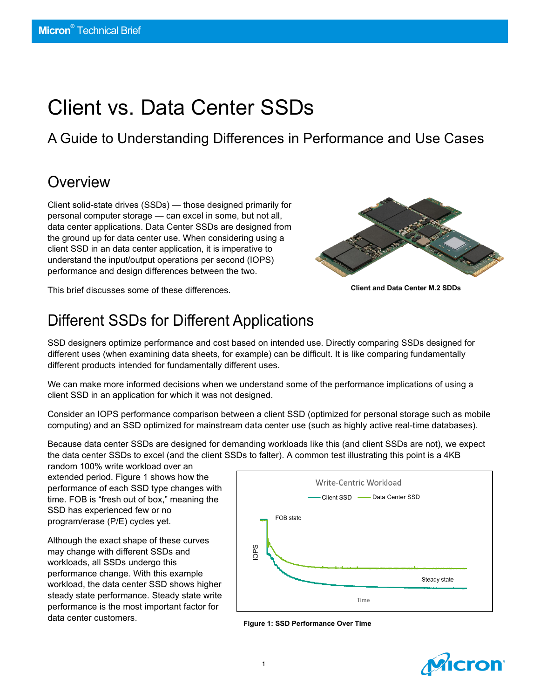# Client vs. Data Center SSDs

A Guide to Understanding Differences in Performance and Use Cases

### **Overview**

Client solid-state drives (SSDs) — those designed primarily for personal computer storage — can excel in some, but not all, data center applications. Data Center SSDs are designed from the ground up for data center use. When considering using a client SSD in an data center application, it is imperative to understand the input/output operations per second (IOPS) performance and design differences between the two.

This brief discusses some of these differences.



**Client and Data Center M.2 SDDs**

# Different SSDs for Different Applications

SSD designers optimize performance and cost based on intended use. Directly comparing SSDs designed for different uses (when examining data sheets, for example) can be difficult. It is like comparing fundamentally different products intended for fundamentally different uses.

We can make more informed decisions when we understand some of the performance implications of using a client SSD in an application for which it was not designed.

Consider an IOPS performance comparison between a client SSD (optimized for personal storage such as mobile computing) and an SSD optimized for mainstream data center use (such as highly active real-time databases).

Because data center SSDs are designed for demanding workloads like this (and client SSDs are not), we expect the data center SSDs to excel (and the client SSDs to falter). A common test illustrating this point is a 4KB

random 100% write workload over an extended period. Figure 1 shows how the performance of each SSD type changes with time. FOB is "fresh out of box," meaning the SSD has experienced few or no program/erase (P/E) cycles yet.

Although the exact shape of these curves may change with different SSDs and workloads, all SSDs undergo this performance change. With this example workload, the data center SSD shows higher steady state performance. Steady state write performance is the most important factor for data center customers.



**Figure 1: SSD Performance Over Time**

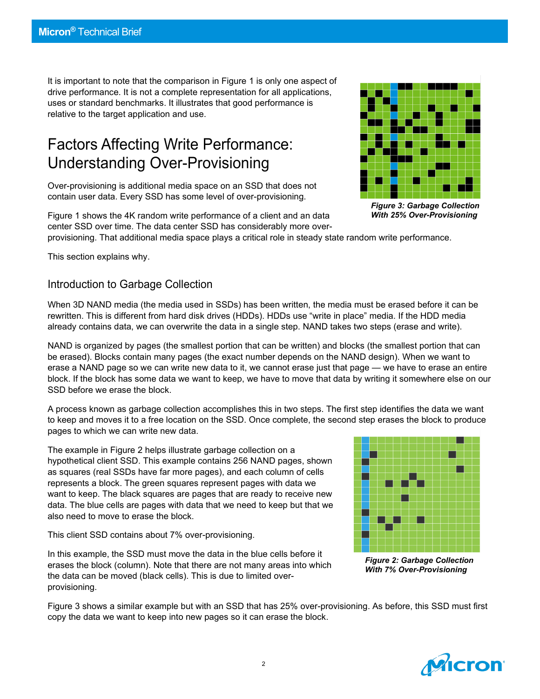It is important to note that the comparison in Figure 1 is only one aspect of drive performance. It is not a complete representation for all applications, uses or standard benchmarks. It illustrates that good performance is relative to the target application and use.

### Factors Affecting Write Performance: Understanding Over-Provisioning

Over-provisioning is additional media space on an SSD that does not contain user data. Every SSD has some level of over-provisioning.

Figure 1 shows the 4K random write performance of a client and an data center SSD over time. The data center SSD has considerably more over-



*Figure 3: Garbage Collection With 25% Over-Provisioning*

provisioning. That additional media space plays a critical role in steady state random write performance.

This section explains why.

#### Introduction to Garbage Collection

When 3D NAND media (the media used in SSDs) has been written, the media must be erased before it can be rewritten. This is different from hard disk drives (HDDs). HDDs use "write in place" media. If the HDD media already contains data, we can overwrite the data in a single step. NAND takes two steps (erase and write).

NAND is organized by pages (the smallest portion that can be written) and blocks (the smallest portion that can be erased). Blocks contain many pages (the exact number depends on the NAND design). When we want to erase a NAND page so we can write new data to it, we cannot erase just that page — we have to erase an entire block. If the block has some data we want to keep, we have to move that data by writing it somewhere else on our SSD before we erase the block.

A process known as garbage collection accomplishes this in two steps. The first step identifies the data we want to keep and moves it to a free location on the SSD. Once complete, the second step erases the block to produce pages to which we can write new data.

The example in Figure 2 helps illustrate garbage collection on a hypothetical client SSD. This example contains 256 NAND pages, shown as squares (real SSDs have far more pages), and each column of cells represents a block. The green squares represent pages with data we want to keep. The black squares are pages that are ready to receive new data. The blue cells are pages with data that we need to keep but that we also need to move to erase the block.

This client SSD contains about 7% over-provisioning.

In this example, the SSD must move the data in the blue cells before it erases the block (column). Note that there are not many areas into which the data can be moved (black cells). This is due to limited overprovisioning.



*Figure 2: Garbage Collection With 7% Over-Provisioning*

Figure 3 shows a similar example but with an SSD that has 25% over-provisioning. As before, this SSD must first copy the data we want to keep into new pages so it can erase the block.

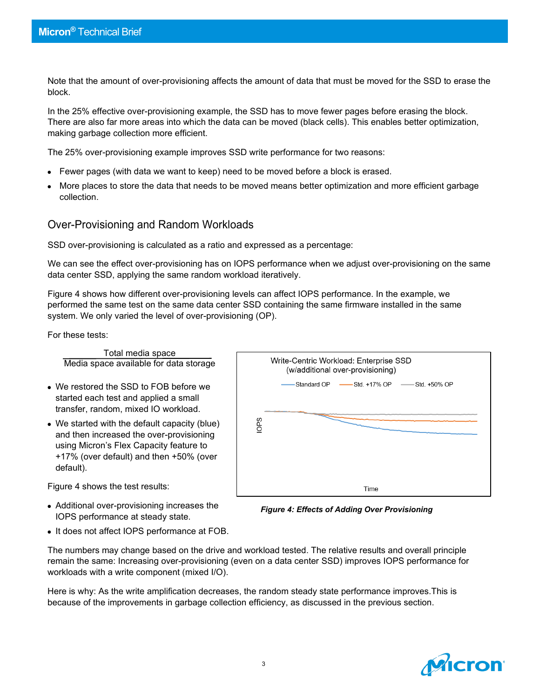Note that the amount of over-provisioning affects the amount of data that must be moved for the SSD to erase the block.

In the 25% effective over-provisioning example, the SSD has to move fewer pages before erasing the block. There are also far more areas into which the data can be moved (black cells). This enables better optimization, making garbage collection more efficient.

The 25% over-provisioning example improves SSD write performance for two reasons:

- Fewer pages (with data we want to keep) need to be moved before a block is erased.
- More places to store the data that needs to be moved means better optimization and more efficient garbage collection.

#### Over-Provisioning and Random Workloads

SSD over-provisioning is calculated as a ratio and expressed as a percentage:

We can see the effect over-provisioning has on IOPS performance when we adjust over-provisioning on the same data center SSD, applying the same random workload iteratively.

Figure 4 shows how different over-provisioning levels can affect IOPS performance. In the example, we performed the same test on the same data center SSD containing the same firmware installed in the same system. We only varied the level of over-provisioning (OP).

For these tests:

Total media space Media space available for data storage

- We restored the SSD to FOB before we started each test and applied a small transfer, random, mixed IO workload.
- We started with the default capacity (blue) and then increased the over-provisioning using Micron's Flex Capacity feature to +17% (over default) and then +50% (over default).

Figure 4 shows the test results:

- Additional over-provisioning increases the IOPS performance at steady state.
- Write-Centric Workload: Enterprise SSD (w/additional over-provisioning) Standard OP - Std. +17% OP -Std. +50% OP **SdOI** Time

*Figure 4: Effects of Adding Over Provisioning*

• It does not affect IOPS performance at FOB.

The numbers may change based on the drive and workload tested. The relative results and overall principle remain the same: Increasing over-provisioning (even on a data center SSD) improves IOPS performance for workloads with a write component (mixed I/O).

Here is why: As the write amplification decreases, the random steady state performance improves.This is because of the improvements in garbage collection efficiency, as discussed in the previous section.

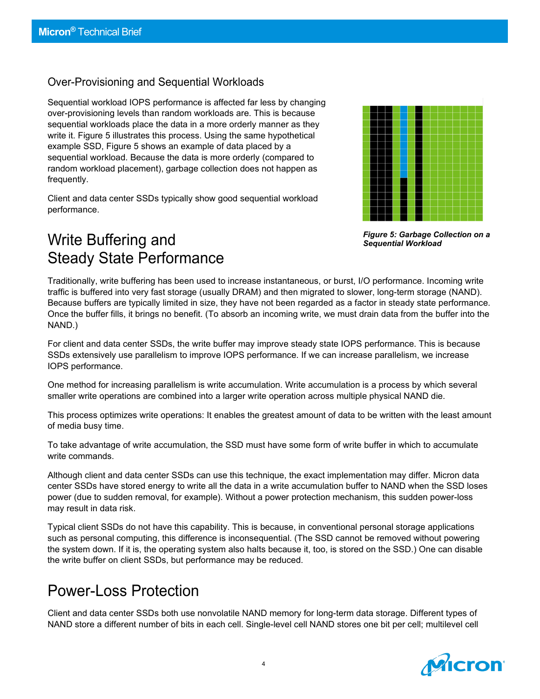#### Over-Provisioning and Sequential Workloads

Sequential workload IOPS performance is affected far less by changing over-provisioning levels than random workloads are. This is because sequential workloads place the data in a more orderly manner as they write it. Figure 5 illustrates this process. Using the same hypothetical example SSD, Figure 5 shows an example of data placed by a sequential workload. Because the data is more orderly (compared to random workload placement), garbage collection does not happen as frequently.

Client and data center SSDs typically show good sequential workload performance.



*Figure 5: Garbage Collection on a Sequential Workload*

### Write Buffering and Steady State Performance

Traditionally, write buffering has been used to increase instantaneous, or burst, I/O performance. Incoming write traffic is buffered into very fast storage (usually DRAM) and then migrated to slower, long-term storage (NAND). Because buffers are typically limited in size, they have not been regarded as a factor in steady state performance. Once the buffer fills, it brings no benefit. (To absorb an incoming write, we must drain data from the buffer into the NAND.)

For client and data center SSDs, the write buffer may improve steady state IOPS performance. This is because SSDs extensively use parallelism to improve IOPS performance. If we can increase parallelism, we increase IOPS performance.

One method for increasing parallelism is write accumulation. Write accumulation is a process by which several smaller write operations are combined into a larger write operation across multiple physical NAND die.

This process optimizes write operations: It enables the greatest amount of data to be written with the least amount of media busy time.

To take advantage of write accumulation, the SSD must have some form of write buffer in which to accumulate write commands.

Although client and data center SSDs can use this technique, the exact implementation may differ. Micron data center SSDs have stored energy to write all the data in a write accumulation buffer to NAND when the SSD loses power (due to sudden removal, for example). Without a power protection mechanism, this sudden power-loss may result in data risk.

Typical client SSDs do not have this capability. This is because, in conventional personal storage applications such as personal computing, this difference is inconsequential. (The SSD cannot be removed without powering the system down. If it is, the operating system also halts because it, too, is stored on the SSD.) One can disable the write buffer on client SSDs, but performance may be reduced.

### Power-Loss Protection

Client and data center SSDs both use nonvolatile NAND memory for long-term data storage. Different types of NAND store a different number of bits in each cell. Single-level cell NAND stores one bit per cell; multilevel cell

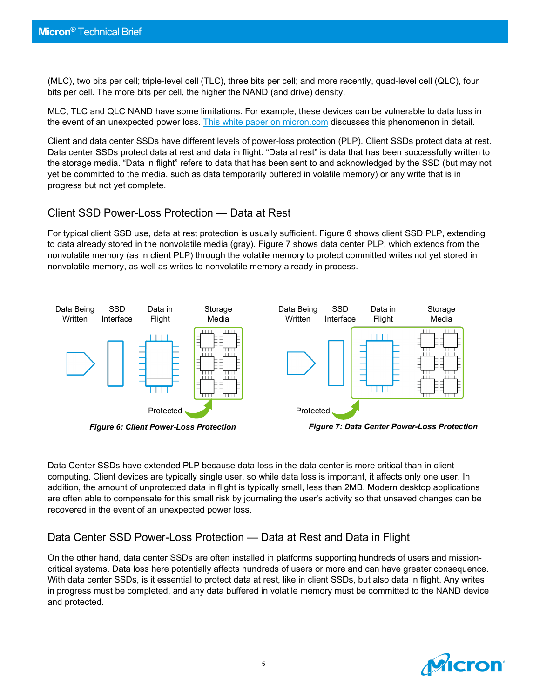(MLC), two bits per cell; triple-level cell (TLC), three bits per cell; and more recently, quad-level cell (QLC), four bits per cell. The more bits per cell, the higher the NAND (and drive) density.

MLC, TLC and QLC NAND have some limitations. For example, these devices can be vulnerable to data loss in the event of an unexpected power loss. [This white paper on micron.com](https://www.micron.com/%7E/media/documents/products/white-paper/ssd_power_loss_protection_white_paper_lo.pdf) discusses this phenomenon in detail.

Client and data center SSDs have different levels of power-loss protection (PLP). Client SSDs protect data at rest. Data center SSDs protect data at rest and data in flight. "Data at rest" is data that has been successfully written to the storage media. "Data in flight" refers to data that has been sent to and acknowledged by the SSD (but may not yet be committed to the media, such as data temporarily buffered in volatile memory) or any write that is in progress but not yet complete.

#### Client SSD Power-Loss Protection — Data at Rest

For typical client SSD use, data at rest protection is usually sufficient. Figure 6 shows client SSD PLP, extending to data already stored in the nonvolatile media (gray). Figure 7 shows data center PLP, which extends from the nonvolatile memory (as in client PLP) through the volatile memory to protect committed writes not yet stored in nonvolatile memory, as well as writes to nonvolatile memory already in process.



Data Center SSDs have extended PLP because data loss in the data center is more critical than in client computing. Client devices are typically single user, so while data loss is important, it affects only one user. In addition, the amount of unprotected data in flight is typically small, less than 2MB. Modern desktop applications are often able to compensate for this small risk by journaling the user's activity so that unsaved changes can be recovered in the event of an unexpected power loss.

#### Data Center SSD Power-Loss Protection — Data at Rest and Data in Flight

On the other hand, data center SSDs are often installed in platforms supporting hundreds of users and missioncritical systems. Data loss here potentially affects hundreds of users or more and can have greater consequence. With data center SSDs, is it essential to protect data at rest, like in client SSDs, but also data in flight. Any writes in progress must be completed, and any data buffered in volatile memory must be committed to the NAND device and protected.